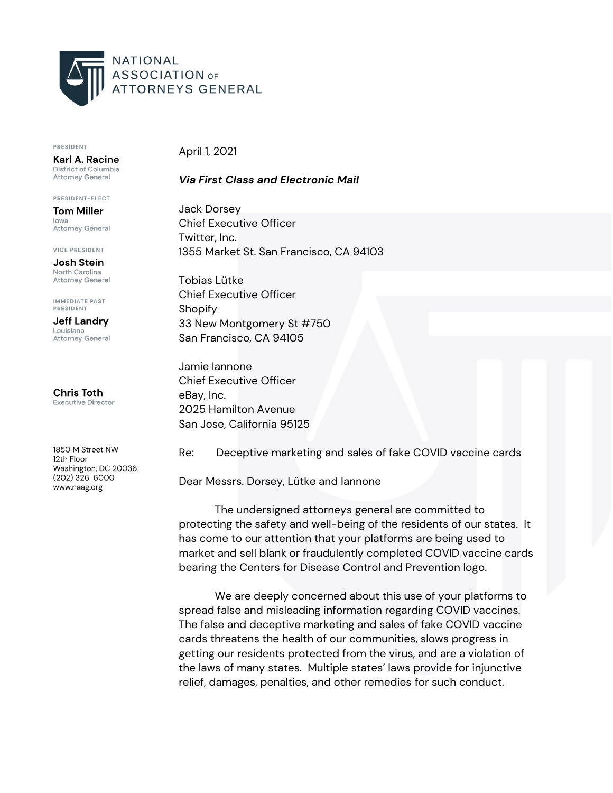

## PRESIDENT

Karl A. Racine District of Columbia Attorney General

PRESIDENT-ELECT **Tom Miller** lowa Attorney General

**VICE PRESIDENT** 

Josh Stein North Carolina **Attorney General** 

IMMEDIATE PAST PRESIDENT

**Jeff Landry** Louisiana **Attorney General** 

**Chris Toth Executive Director** 

1850 M Street NW 12th Floor Washington, DC 20036  $(202)$  326-6000 www.naag.org

April 1, 2021

## *Via First Class and Electronic Mail*

Jack Dorsey Chief Executive Officer Twitter, Inc. 1355 Market St. San Francisco, CA 94103

Tobias Lütke Chief Executive Officer Shopify 33 New Montgomery St #750 San Francisco, CA 94105

Jamie Iannone Chief Executive Officer eBay, Inc. 2025 Hamilton Avenue San Jose, California 95125

Re: Deceptive marketing and sales of fake COVID vaccine cards

Dear Messrs. Dorsey, Lütke and Iannone

The undersigned attorneys general are committed to protecting the safety and well-being of the residents of our states. It has come to our attention that your platforms are being used to market and sell blank or fraudulently completed COVID vaccine cards bearing the Centers for Disease Control and Prevention logo.

We are deeply concerned about this use of your platforms to spread false and misleading information regarding COVID vaccines. The false and deceptive marketing and sales of fake COVID vaccine cards threatens the health of our communities, slows progress in getting our residents protected from the virus, and are a violation of the laws of many states. Multiple states' laws provide for injunctive relief, damages, penalties, and other remedies for such conduct.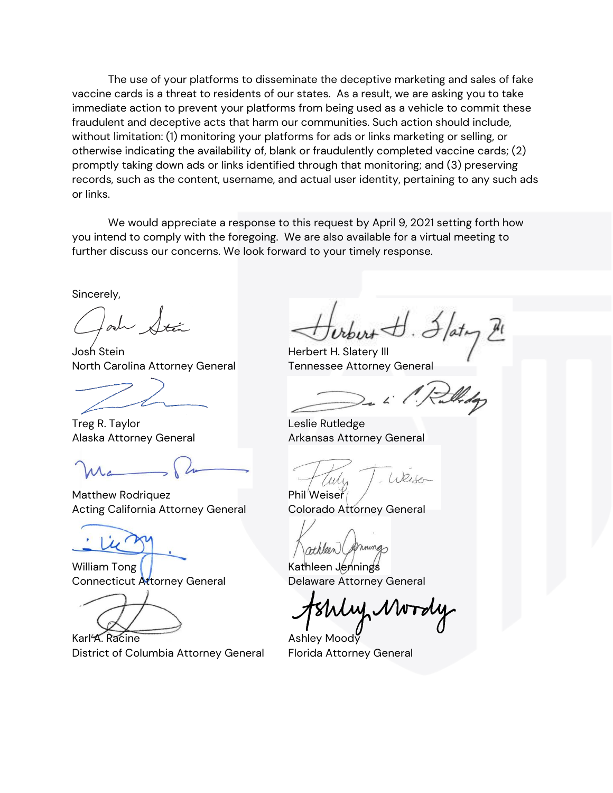The use of your platforms to disseminate the deceptive marketing and sales of fake vaccine cards is a threat to residents of our states. As a result, we are asking you to take immediate action to prevent your platforms from being used as a vehicle to commit these fraudulent and deceptive acts that harm our communities. Such action should include, without limitation: (1) monitoring your platforms for ads or links marketing or selling, or otherwise indicating the availability of, blank or fraudulently completed vaccine cards; (2) promptly taking down ads or links identified through that monitoring; and (3) preserving records, such as the content, username, and actual user identity, pertaining to any such ads or links.

We would appreciate a response to this request by April 9, 2021 setting forth how you intend to comply with the foregoing. We are also available for a virtual meeting to further discuss our concerns. We look forward to your timely response.

Sincerely,

Josh Stein Herbert H. Slatery III North Carolina Attorney General Tennessee Attorney General

Treg R. Taylor **Leslie Rutledge** 

Matthew Rodriquez **Phil** Weiser Acting California Attorney General Colorado Attorney General

William Tong **Kathleen Jennings** Connecticut Attorney General Delaware Attorney General

Karl A. Racine **Ashley Moody** District of Columbia Attorney General Florida Attorney General

Alaska Attorney General **Arkansas Attorney General** 

 $10215$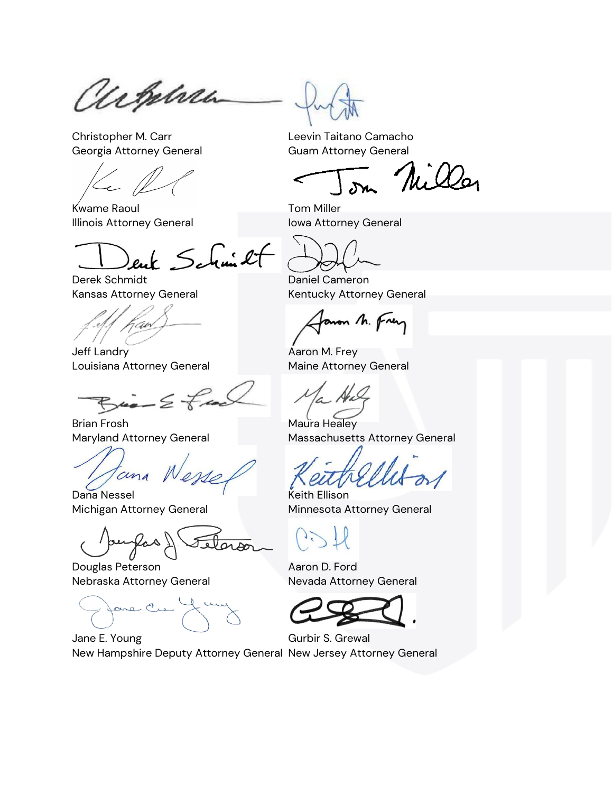achebra

Christopher M. Carr **Leevin Taitano Camacho** Georgia Attorney General Guam Attorney General

Kwame Raoul **Tom Miller** Illinois Attorney General **International International International International International International** 

enk Schmitt

Derek Schmidt **Daniel Cameron** 

Jeff Landry **Aaron M. Frey** Louisiana Attorney General **Maine Attorney General** 

 $\mu$   $\geq$   $\neq$ 

Brian Frosh **Maura Healey** 

cina

Dana Nessel New York Channel Keith Ellison

Ras 1

Douglas Peterson **Aaron D. Ford** Nebraska Attorney General Nevada Attorney General

Jane Cre

Miller

Kansas Attorney General Kentucky Attorney General

Janon M. Frey

Maryland Attorney General Massachusetts Attorney General

Michigan Attorney General **Minnesota Attorney General** 

Jane E. Young Gurbir S. Grewal New Hampshire Deputy Attorney General New Jersey Attorney General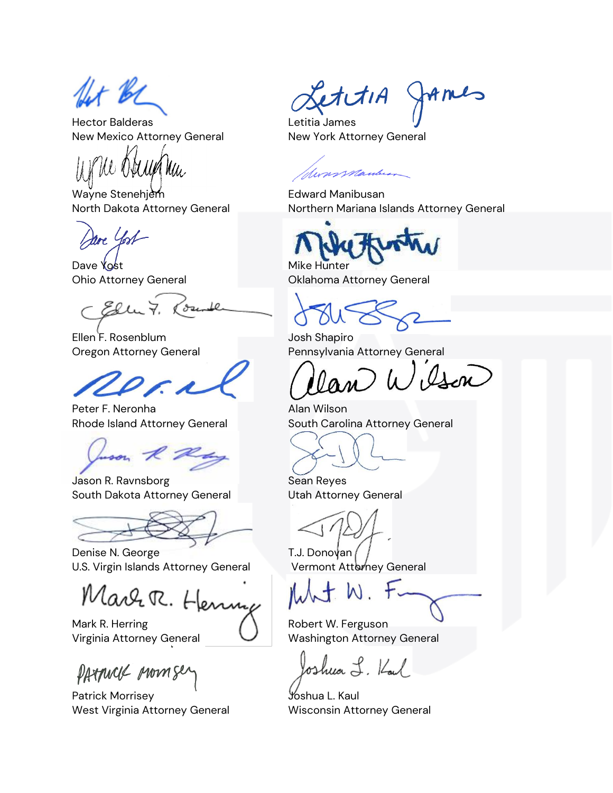fet be

Hector Balderas Letitia James New Mexico Attorney General New York Attorney General

Wayne Stenehjem **Edward Manibusan** 

re York

Dave Yost **Mike Hunter** 

Ellu 7. ( dru

Ellen F. Rosenblum Josh Shapiro

Peter F. Neronha Alan Wilson

son  $R$  2

**Jason R. Ravnsborg Sean Reyes** South Dakota Attorney General **Utah Attorney General** 

Denise N. George **T.J. Donovan** U.S. Virgin Islands Attorney General Vermont Attorney General

Marr R. Henny

Mark R. Herring  $\bigwedge$  Robert W. Ferguson

PATTUCK Momser

Patrick Morrisey **Joshua L. Kaul** West Virginia Attorney General Wisconsin Attorney General

etitiA James

commandar

North Dakota Attorney General Northern Mariana Islands Attorney General

Ohio Attorney General Oklahoma Attorney General

Oregon Attorney General Pennsylvania Attorney General

an Wilson

Rhode Island Attorney General South Carolina Attorney General

Virginia Attorney General Virginia Attorney General

oshua L. Kal